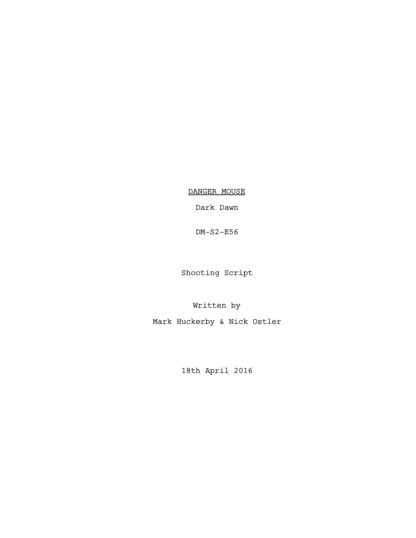DANGER MOUSE

Dark Dawn

DM-S2-E56

Shooting Script

Written by Mark Huckerby & Nick Ostler

18th April 2016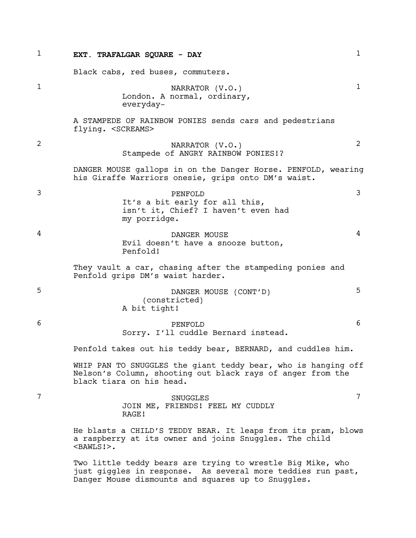| 1            | EXT. TRAFALGAR SQUARE - DAY                                                                                                                                                     | 1            |
|--------------|---------------------------------------------------------------------------------------------------------------------------------------------------------------------------------|--------------|
|              | Black cabs, red buses, commuters.                                                                                                                                               |              |
| $\mathbf{1}$ | NARRATOR (V.O.)<br>London. A normal, ordinary,<br>everyday-                                                                                                                     | $\mathbf{1}$ |
|              | A STAMPEDE OF RAINBOW PONIES sends cars and pedestrians<br>flying. <screams></screams>                                                                                          |              |
| 2            | NARRATOR (V.O.)<br>Stampede of ANGRY RAINBOW PONIES!?                                                                                                                           | 2            |
|              | DANGER MOUSE gallops in on the Danger Horse. PENFOLD, wearing<br>his Giraffe Warriors onesie, grips onto DM's waist.                                                            |              |
| 3            | PENFOLD<br>It's a bit early for all this,<br>isn't it, Chief? I haven't even had<br>my porridge.                                                                                | 3            |
| 4            | DANGER MOUSE<br>Evil doesn't have a snooze button,<br>Penfold!                                                                                                                  | 4            |
|              | They vault a car, chasing after the stampeding ponies and<br>Penfold grips DM's waist harder.                                                                                   |              |
| 5            | DANGER MOUSE (CONT'D)<br>(constricted)<br>A bit tight!                                                                                                                          | 5            |
| 6            | PENFOLD<br>Sorry. I'll cuddle Bernard instead.                                                                                                                                  | 6            |
|              | Penfold takes out his teddy bear, BERNARD, and cuddles him.                                                                                                                     |              |
|              | WHIP PAN TO SNUGGLES the giant teddy bear, who is hanging off<br>Nelson's Column, shooting out black rays of anger from the<br>black tiara on his head.                         |              |
| 7            | SNUGGLES<br>JOIN ME, FRIENDS! FEEL MY CUDDLY<br>RAGE!                                                                                                                           | 7            |
|              | He blasts a CHILD'S TEDDY BEAR. It leaps from its pram, blows<br>a raspberry at its owner and joins Snuggles. The child<br>$<$ BAWLS! $>$ .                                     |              |
|              | Two little teddy bears are trying to wrestle Big Mike, who<br>just giggles in response. As several more teddies run past,<br>Danger Mouse dismounts and squares up to Snuggles. |              |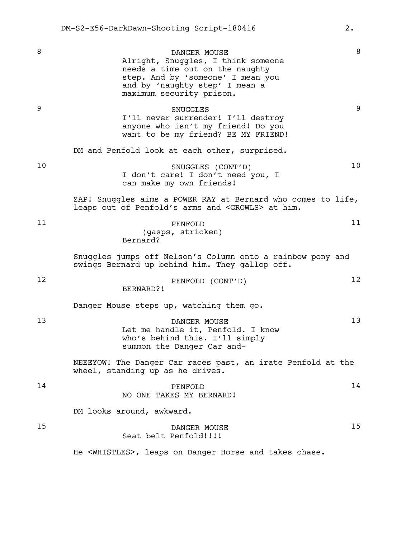8 DANGER MOUSE 8 Alright, Snuggles, I think someone needs a time out on the naughty step. And by 'someone' I mean you and by 'naughty step' I mean a maximum security prison. 9 SNUGGLES 9 I'll never surrender! I'll destroy anyone who isn't my friend! Do you want to be my friend? BE MY FRIEND! DM and Penfold look at each other, surprised. 10 SNUGGLES (CONT'D) 10 I don't care! I don't need you, I can make my own friends! ZAP! Snuggles aims a POWER RAY at Bernard who comes to life, leaps out of Penfold's arms and <GROWLS> at him. 11 PENFOLD 11 (gasps, stricken) Bernard? Snuggles jumps off Nelson's Column onto a rainbow pony and swings Bernard up behind him. They gallop off. 12 PENFOLD (CONT'D) 12 BERNARD?! Danger Mouse steps up, watching them go. 13 DANGER MOUSE 13 Let me handle it, Penfold. I know who's behind this. I'll simply summon the Danger Car and-NEEEYOW! The Danger Car races past, an irate Penfold at the wheel, standing up as he drives. 14 **PENFOLD** 14 NO ONE TAKES MY BERNARD! DM looks around, awkward. 15 DANGER MOUSE 15 Seat belt Penfold!!!! He <WHISTLES>, leaps on Danger Horse and takes chase.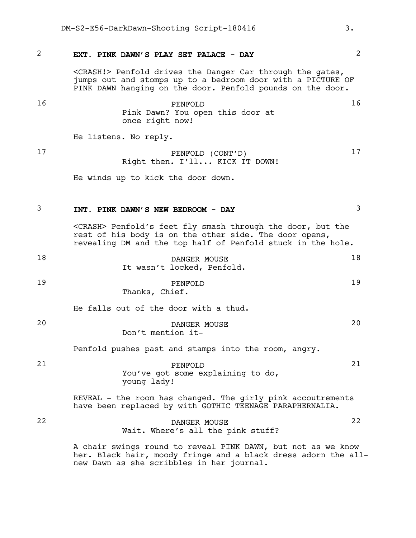#### 2 **EXT. PINK DAWN'S PLAY SET PALACE - DAY** 2

<CRASH!> Penfold drives the Danger Car through the gates, jumps out and stomps up to a bedroom door with a PICTURE OF PINK DAWN hanging on the door. Penfold pounds on the door.

16 PENFOLD 16 Pink Dawn? You open this door at once right now! He listens. No reply.

17 PENFOLD (CONT'D) 17

Right then. I'll... KICK IT DOWN!

He winds up to kick the door down.

#### 3 **INT. PINK DAWN'S NEW BEDROOM - DAY** 3

<CRASH> Penfold's feet fly smash through the door, but the rest of his body is on the other side. The door opens, revealing DM and the top half of Penfold stuck in the hole.

| 18 | DANGER MOUSE               | 18 |
|----|----------------------------|----|
|    | It wasn't locked, Penfold. |    |

19 PENFOLD 19 Thanks, Chief.

He falls out of the door with a thud.

20 DANGER MOUSE 20 Don't mention it-

Penfold pushes past and stamps into the room, angry.

21 PENFOLD 21 You've got some explaining to do, young lady!

> REVEAL - the room has changed. The girly pink accoutrements have been replaced by with GOTHIC TEENAGE PARAPHERNALIA.

## 22 DANGER MOUSE 22 Wait. Where's all the pink stuff?

A chair swings round to reveal PINK DAWN, but not as we know her. Black hair, moody fringe and a black dress adorn the allnew Dawn as she scribbles in her journal.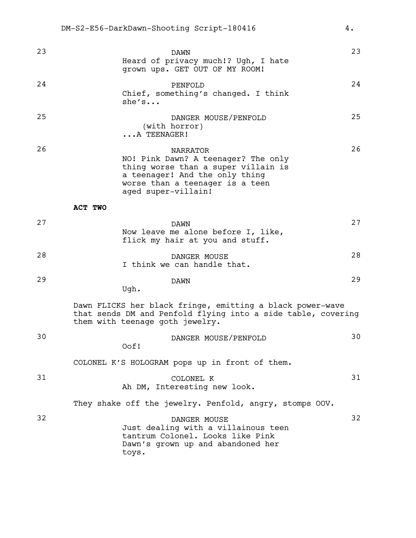| 23 | DAWN<br>Heard of privacy much!? Ugh, I hate<br>grown ups. GET OUT OF MY ROOM!                                                                                                             | 23 |
|----|-------------------------------------------------------------------------------------------------------------------------------------------------------------------------------------------|----|
| 24 | PENFOLD<br>Chief, something's changed. I think<br>she's                                                                                                                                   | 24 |
| 25 | DANGER MOUSE/PENFOLD<br>(with horror)<br>A TEENAGER!                                                                                                                                      | 25 |
| 26 | <b>NARRATOR</b><br>NO! Pink Dawn? A teenager? The only<br>thing worse than a super villain is<br>a teenager! And the only thing<br>worse than a teenager is a teen<br>aged super-villain! | 26 |
|    | ACT TWO                                                                                                                                                                                   |    |
| 27 | <b>DAWN</b><br>Now leave me alone before I, like,<br>flick my hair at you and stuff.                                                                                                      | 27 |
| 28 | DANGER MOUSE<br>I think we can handle that.                                                                                                                                               | 28 |
| 29 | <b>DAWN</b><br>Ugh.                                                                                                                                                                       | 29 |
|    | Dawn FLICKS her black fringe, emitting a black power-wave<br>that sends DM and Penfold flying into a side table, covering<br>them with teenage goth jewelry.                              |    |
| 30 | DANGER MOUSE/PENFOLD<br>Oof!                                                                                                                                                              | 30 |
|    | COLONEL K'S HOLOGRAM pops up in front of them.                                                                                                                                            |    |
| 31 | COLONEL K<br>Ah DM, Interesting new look.                                                                                                                                                 | 31 |
|    | They shake off the jewelry. Penfold, angry, stomps OOV.                                                                                                                                   |    |
| 32 | DANGER MOUSE<br>Just dealing with a villainous teen<br>tantrum Colonel. Looks like Pink<br>Dawn's grown up and abandoned her<br>toys.                                                     | 32 |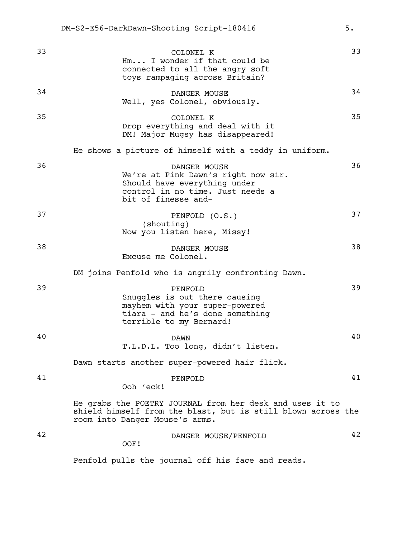| 33 | COLONEL K<br>Hm I wonder if that could be<br>connected to all the angry soft<br>toys rampaging across Britain?                                             | 33 |
|----|------------------------------------------------------------------------------------------------------------------------------------------------------------|----|
| 34 | DANGER MOUSE<br>Well, yes Colonel, obviously.                                                                                                              | 34 |
| 35 | COLONEL K<br>Drop everything and deal with it<br>DM! Major Mugsy has disappeared!                                                                          | 35 |
|    | He shows a picture of himself with a teddy in uniform.                                                                                                     |    |
| 36 | DANGER MOUSE<br>We're at Pink Dawn's right now sir.<br>Should have everything under<br>control in no time. Just needs a<br>bit of finesse and-             | 36 |
| 37 | PENFOLD (O.S.)<br>(shouting)<br>Now you listen here, Missy!                                                                                                | 37 |
| 38 | DANGER MOUSE<br>Excuse me Colonel.                                                                                                                         | 38 |
|    | DM joins Penfold who is angrily confronting Dawn.                                                                                                          |    |
| 39 | PENFOLD<br>Snuggles is out there causing<br>mayhem with your super-powered<br>tiara - and he's done something<br>terrible to my Bernard!                   | 39 |
| 40 | <b>DAWN</b><br>T.L.D.L. Too long, didn't listen.                                                                                                           | 40 |
|    | Dawn starts another super-powered hair flick.                                                                                                              |    |
| 41 | PENFOLD<br>Ooh 'eck!                                                                                                                                       | 41 |
|    | He grabs the POETRY JOURNAL from her desk and uses it to<br>shield himself from the blast, but is still blown across the<br>room into Danger Mouse's arms. |    |
| 42 | DANGER MOUSE/PENFOLD<br>OOF!                                                                                                                               | 42 |
|    | Penfold pulls the journal off his face and reads.                                                                                                          |    |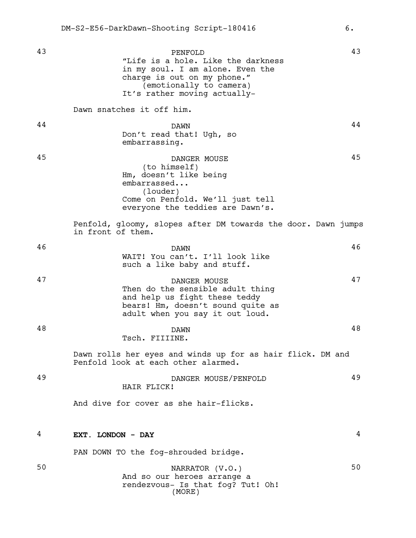43 PENFOLD 43 "Life is a hole. Like the darkness in my soul. I am alone. Even the charge is out on my phone." (emotionally to camera) It's rather moving actually-Dawn snatches it off him. 44 DAWN 244 Don't read that! Ugh, so embarrassing. 45 DANGER MOUSE 45 (to himself) Hm, doesn't like being embarrassed... (louder) Come on Penfold. We'll just tell everyone the teddies are Dawn's. Penfold, gloomy, slopes after DM towards the door. Dawn jumps in front of them. 46 DAWN 26 WAIT! You can't. I'll look like such a like baby and stuff. 47 DANGER MOUSE 47 Then do the sensible adult thing and help us fight these teddy bears! Hm, doesn't sound quite as adult when you say it out loud. 48 DAWN 28 Tsch. FIIIINE. Dawn rolls her eyes and winds up for as hair flick. DM and Penfold look at each other alarmed. 49 DANGER MOUSE/PENFOLD 49 HAIR FLICK! And dive for cover as she hair-flicks. 4 **EXT. LONDON - DAY** 4 PAN DOWN TO the fog-shrouded bridge. 50 NARRATOR (V.O.) 50 And so our heroes arrange a rendezvous- Is that fog? Tut! Oh! (MORE)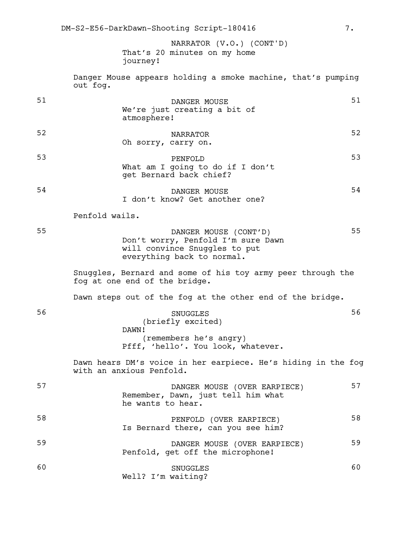That's 20 minutes on my home journey! NARRATOR (V.O.) (CONT'D)

Danger Mouse appears holding a smoke machine, that's pumping out fog.

| 51 | DANGER MOUSE<br>We're just creating a bit of<br>atmosphere!                                                                | 51 |
|----|----------------------------------------------------------------------------------------------------------------------------|----|
| 52 | <b>NARRATOR</b><br>Oh sorry, carry on.                                                                                     | 52 |
| 53 | PENFOLD<br>What am I going to do if I don't<br>get Bernard back chief?                                                     | 53 |
| 54 | DANGER MOUSE<br>I don't know? Get another one?                                                                             | 54 |
|    | Penfold wails.                                                                                                             |    |
| 55 | DANGER MOUSE (CONT'D)<br>Don't worry, Penfold I'm sure Dawn<br>will convince Snuggles to put<br>everything back to normal. | 55 |
|    | Snuggles, Bernard and some of his toy army peer through the<br>fog at one end of the bridge.                               |    |
|    | Dawn steps out of the fog at the other end of the bridge.                                                                  |    |
| 56 | <b>SNUGGLES</b><br>(briefly excited)<br>DAWN!<br>(remembers he's angry)<br>Pfff, 'hello'. You look, whatever.              | 56 |
|    | Dawn hears DM's voice in her earpiece. He's hiding in the fog<br>with an anxious Penfold.                                  |    |
| 57 | DANGER MOUSE (OVER EARPIECE)<br>Remember, Dawn, just tell him what<br>he wants to hear.                                    | 57 |
| 58 | PENFOLD (OVER EARPIECE)<br>Is Bernard there, can you see him?                                                              | 58 |
| 59 | DANGER MOUSE (OVER EARPIECE)<br>Penfold, get off the microphone!                                                           | 59 |
| 60 | <b>SNUGGLES</b><br>Well? I'm waiting?                                                                                      | 60 |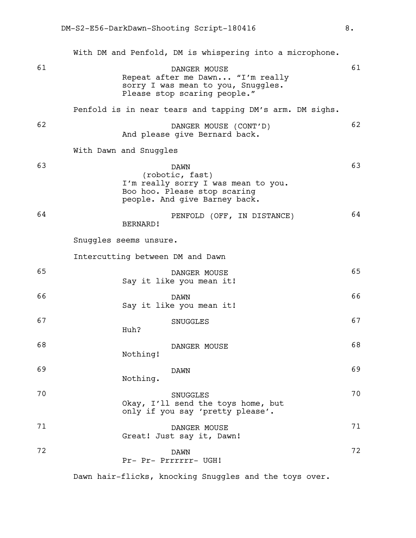|    | With DM and Penfold, DM is whispering into a microphone.                                                                               |    |
|----|----------------------------------------------------------------------------------------------------------------------------------------|----|
| 61 | DANGER MOUSE<br>Repeat after me Dawn "I'm really<br>sorry I was mean to you, Snuggles.<br>Please stop scaring people."                 | 61 |
|    | Penfold is in near tears and tapping DM's arm. DM sighs.                                                                               |    |
| 62 | DANGER MOUSE (CONT'D)<br>And please give Bernard back.                                                                                 | 62 |
|    | With Dawn and Snuggles                                                                                                                 |    |
| 63 | <b>DAWN</b><br>(robotic, fast)<br>I'm really sorry I was mean to you.<br>Boo hoo. Please stop scaring<br>people. And give Barney back. | 63 |
| 64 | PENFOLD (OFF, IN DISTANCE)<br>BERNARD!                                                                                                 | 64 |
|    | Snuggles seems unsure.                                                                                                                 |    |
|    | Intercutting between DM and Dawn                                                                                                       |    |
| 65 | DANGER MOUSE<br>Say it like you mean it!                                                                                               | 65 |
| 66 | <b>DAWN</b><br>Say it like you mean it!                                                                                                | 66 |
| 67 | <b>SNUGGLES</b><br>Huh?                                                                                                                | 67 |
| 68 | DANGER MOUSE<br>Nothing!                                                                                                               | 68 |
| 69 | <b>DAWN</b><br>Nothing.                                                                                                                | 69 |
| 70 | <b>SNUGGLES</b><br>Okay, I'll send the toys home, but<br>only if you say 'pretty please'.                                              | 70 |
| 71 | DANGER MOUSE<br>Great! Just say it, Dawn!                                                                                              | 71 |
| 72 | <b>DAWN</b><br>Pr- Pr- Prrrrrr- UGH!                                                                                                   | 72 |

Dawn hair-flicks, knocking Snuggles and the toys over.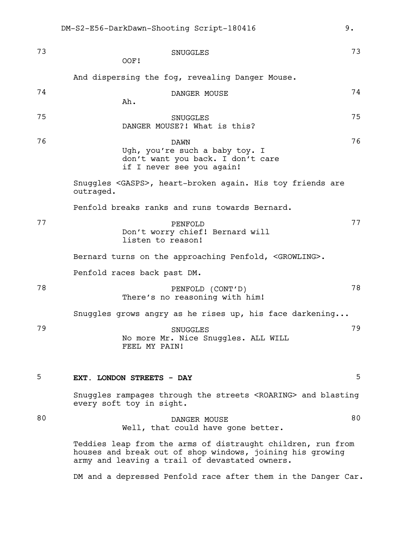| 73 | <b>SNUGGLES</b><br>OOF!                                                                                                                                                    | 73 |
|----|----------------------------------------------------------------------------------------------------------------------------------------------------------------------------|----|
|    | And dispersing the fog, revealing Danger Mouse.                                                                                                                            |    |
| 74 | DANGER MOUSE<br>Ah.                                                                                                                                                        | 74 |
| 75 | <b>SNUGGLES</b><br>DANGER MOUSE?! What is this?                                                                                                                            | 75 |
| 76 | <b>DAWN</b><br>Ugh, you're such a baby toy. I<br>don't want you back. I don't care<br>if I never see you again!                                                            | 76 |
|    | Snuggles <gasps>, heart-broken again. His toy friends are<br/>outraged.</gasps>                                                                                            |    |
|    | Penfold breaks ranks and runs towards Bernard.                                                                                                                             |    |
| 77 | PENFOLD<br>Don't worry chief! Bernard will<br>listen to reason!                                                                                                            | 77 |
|    | Bernard turns on the approaching Penfold, <growling>.</growling>                                                                                                           |    |
|    | Penfold races back past DM.                                                                                                                                                |    |
| 78 | PENFOLD (CONT'D)<br>There's no reasoning with him!                                                                                                                         | 78 |
|    | Snuggles grows angry as he rises up, his face darkening                                                                                                                    |    |
| 79 | <b>SNUGGLES</b><br>No more Mr. Nice Snuggles. ALL WILL<br>FEEL MY PAIN!                                                                                                    | 79 |
| 5  | EXT. LONDON STREETS - DAY                                                                                                                                                  | 5  |
|    | Snuggles rampages through the streets <roaring> and blasting<br/>every soft toy in sight.</roaring>                                                                        |    |
| 80 | DANGER MOUSE<br>Well, that could have gone better.                                                                                                                         | 80 |
|    | Teddies leap from the arms of distraught children, run from<br>houses and break out of shop windows, joining his growing<br>army and leaving a trail of devastated owners. |    |
|    | DM and a depressed Penfold race after them in the Danger Car.                                                                                                              |    |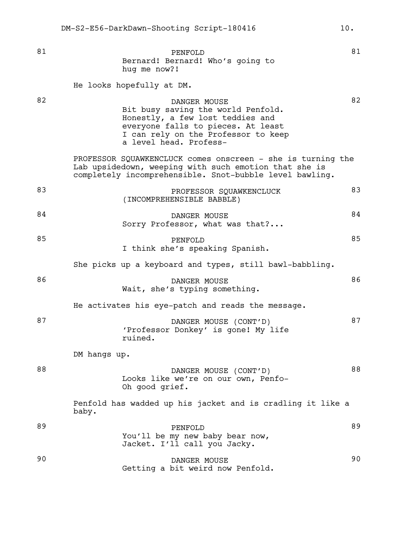81 BENFOLD 81 Bernard! Bernard! Who's going to hug me now?! He looks hopefully at DM. 82 DANGER MOUSE 82 Bit busy saving the world Penfold. Honestly, a few lost teddies and everyone falls to pieces. At least I can rely on the Professor to keep a level head. Profess-PROFESSOR SQUAWKENCLUCK comes onscreen - she is turning the Lab upsidedown, weeping with such emotion that she is completely incomprehensible. Snot-bubble level bawling. 83 PROFESSOR SOUAWKENCLUCK 83 (INCOMPREHENSIBLE BABBLE) 84 DANGER MOUSE 84 Sorry Professor, what was that?... 85 PENFOLD 85 I think she's speaking Spanish. She picks up a keyboard and types, still bawl-babbling. 86 DANGER MOUSE 86 Wait, she's typing something. He activates his eye-patch and reads the message. 87 **DANGER MOUSE** (CONT'D) 87 'Professor Donkey' is gone! My life ruined. DM hangs up. 88 DANGER MOUSE (CONT'D) 88 Looks like we're on our own, Penfo-Oh good grief. Penfold has wadded up his jacket and is cradling it like a baby. 89 PENFOLD 89 You'll be my new baby bear now, Jacket. I'll call you Jacky. 90 DANGER MOUSE 90

Getting a bit weird now Penfold.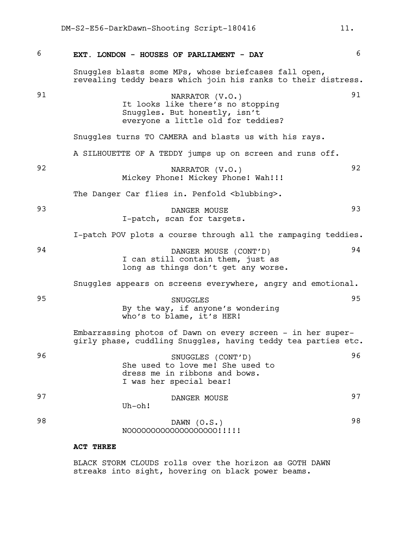6 **EXT. LONDON - HOUSES OF PARLIAMENT - DAY** 6 Snuggles blasts some MPs, whose briefcases fall open, revealing teddy bears which join his ranks to their distress. 91 MARRATOR (V.O.) 91 It looks like there's no stopping Snuggles. But honestly, isn't everyone a little old for teddies? Snuggles turns TO CAMERA and blasts us with his rays. A SILHOUETTE OF A TEDDY jumps up on screen and runs off. 92 NARRATOR (V.O.) 92 Mickey Phone! Mickey Phone! Wah!!! The Danger Car flies in. Penfold <br/>blubbing>. 93 DANGER MOUSE 93 I-patch, scan for targets. I-patch POV plots a course through all the rampaging teddies. 94 DANGER MOUSE (CONT'D) 94 I can still contain them, just as long as things don't get any worse. Snuggles appears on screens everywhere, angry and emotional. 95 SNUGGLES 95 By the way, if anyone's wondering who's to blame, it's HER! Embarrassing photos of Dawn on every screen - in her supergirly phase, cuddling Snuggles, having teddy tea parties etc. 96 SNUGGLES (CONT'D) 96 She used to love me! She used to dress me in ribbons and bows. I was her special bear! 97 DANGER MOUSE 97 Uh-oh! 98 DAWN (O.S.) 98 NOOOOOOOOOOOOOOOOOO!!!!! **ACT THREE**

> BLACK STORM CLOUDS rolls over the horizon as GOTH DAWN streaks into sight, hovering on black power beams.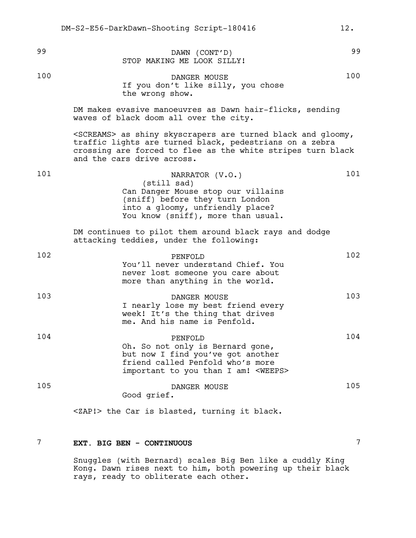| 99  | DAWN (CONT'D)<br>STOP MAKING ME LOOK SILLY!                                                                                                                                                                                      | 99  |
|-----|----------------------------------------------------------------------------------------------------------------------------------------------------------------------------------------------------------------------------------|-----|
| 100 | DANGER MOUSE<br>If you don't like silly, you chose<br>the wrong show.                                                                                                                                                            | 100 |
|     | DM makes evasive manoeuvres as Dawn hair-flicks, sending<br>waves of black doom all over the city.                                                                                                                               |     |
|     | <screams> as shiny skyscrapers are turned black and gloomy,<br/>traffic lights are turned black, pedestrians on a zebra<br/>crossing are forced to flee as the white stripes turn black<br/>and the cars drive across.</screams> |     |
| 101 | NARRATOR (V.O.)<br>(still sad)<br>Can Danger Mouse stop our villains<br>(sniff) before they turn London<br>into a gloomy, unfriendly place?<br>You know (sniff), more than usual.                                                | 101 |
|     | DM continues to pilot them around black rays and dodge<br>attacking teddies, under the following:                                                                                                                                |     |
| 102 | PENFOLD<br>You'll never understand Chief. You<br>never lost someone you care about<br>more than anything in the world.                                                                                                           | 102 |
| 103 | DANGER MOUSE<br>I nearly lose my best friend every<br>week! It's the thing that drives<br>me. And his name is Penfold.                                                                                                           | 103 |
| 104 | PENFOLD<br>Oh. So not only is Bernard gone,<br>but now I find you've got another<br>friend called Penfold who's more<br>important to you than I am! <weeps></weeps>                                                              | 104 |
| 105 | DANGER MOUSE<br>Good grief.                                                                                                                                                                                                      | 105 |
|     | <zap!> the Car is blasted, turning it black.</zap!>                                                                                                                                                                              |     |

# 7 **EXT. BIG BEN - CONTINUOUS** 7

Snuggles (with Bernard) scales Big Ben like a cuddly King Kong. Dawn rises next to him, both powering up their black rays, ready to obliterate each other.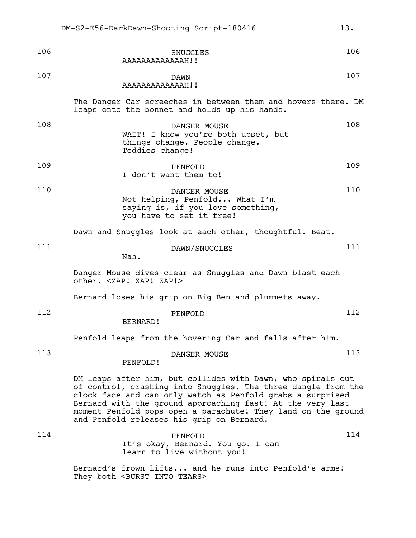| 106 | SNUGGLES<br>AAAAAAAAAAAAAH!!                                                                                                   | 106 |
|-----|--------------------------------------------------------------------------------------------------------------------------------|-----|
| 107 | <b>DAWN</b><br>the contract of the contract of the contract of the contract of the contract of the contract of the contract of | 107 |

### AAAAAAAAAAAAAH!!

The Danger Car screeches in between them and hovers there. DM leaps onto the bonnet and holds up his hands.

| 108 | DANGER MOUSE<br>WAIT! I know you're both upset, but<br>things change. People change.<br>Teddies change! | 108 |
|-----|---------------------------------------------------------------------------------------------------------|-----|
| 109 | PENFOLD<br>I don't want them to!                                                                        | 109 |

| 110 | DANGER MOUSE                      | 110 |
|-----|-----------------------------------|-----|
|     | Not helping, Penfold What I'm     |     |
|     | saying is, if you love something, |     |
|     | you have to set it free!          |     |

Dawn and Snuggles look at each other, thoughtful. Beat.

111 DAWN/SNUGGLES 111

Nah.

Danger Mouse dives clear as Snuggles and Dawn blast each other. <ZAP! ZAP! ZAP!>

Bernard loses his grip on Big Ben and plummets away.

| 112            |         | $\sim$ |
|----------------|---------|--------|
|                | PENFOLD |        |
| <b>BERNARD</b> |         |        |

Penfold leaps from the hovering Car and falls after him.

| 113 |          | DANGER MOUSE |  | 113 |
|-----|----------|--------------|--|-----|
|     | PENFOLD! |              |  |     |

DM leaps after him, but collides with Dawn, who spirals out of control, crashing into Snuggles. The three dangle from the clock face and can only watch as Penfold grabs a surprised Bernard with the ground approaching fast! At the very last moment Penfold pops open a parachute! They land on the ground and Penfold releases his grip on Bernard.

| 114 | PENFOLD.                          | 114 |
|-----|-----------------------------------|-----|
|     | It's okay, Bernard. You go. I can |     |
|     | learn to live without you!        |     |
|     |                                   |     |

Bernard's frown lifts... and he runs into Penfold's arms! They both <BURST INTO TEARS>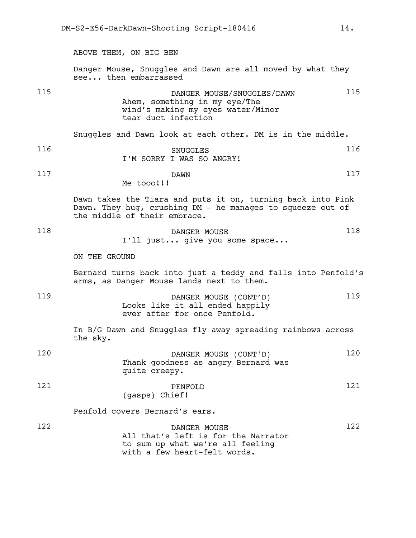ABOVE THEM, ON BIG BEN Danger Mouse, Snuggles and Dawn are all moved by what they see... then embarrassed 115 **115** DANGER MOUSE/SNUGGLES/DAWN 115 Ahem, something in my eye/The wind's making my eyes water/Minor tear duct infection Snuggles and Dawn look at each other. DM is in the middle. 116 SNUGGLES 116 I'M SORRY I WAS SO ANGRY! 117 **DAWN** 117 Me tooo!!! Dawn takes the Tiara and puts it on, turning back into Pink Dawn. They hug, crushing DM - he manages to squeeze out of the middle of their embrace. 118 DANGER MOUSE 118 I'll just... give you some space... ON THE GROUND Bernard turns back into just a teddy and falls into Penfold's arms, as Danger Mouse lands next to them. 119 DANGER MOUSE (CONT'D) 119 Looks like it all ended happily ever after for once Penfold. In B/G Dawn and Snuggles fly away spreading rainbows across the sky. 120 DANGER MOUSE (CONT'D) 120 Thank goodness as angry Bernard was quite creepy. 121 **PENFOLD** 121 (gasps) Chief! Penfold covers Bernard's ears. 122 **DANGER MOUSE** 122 All that's left is for the Narrator to sum up what we're all feeling

with a few heart-felt words.